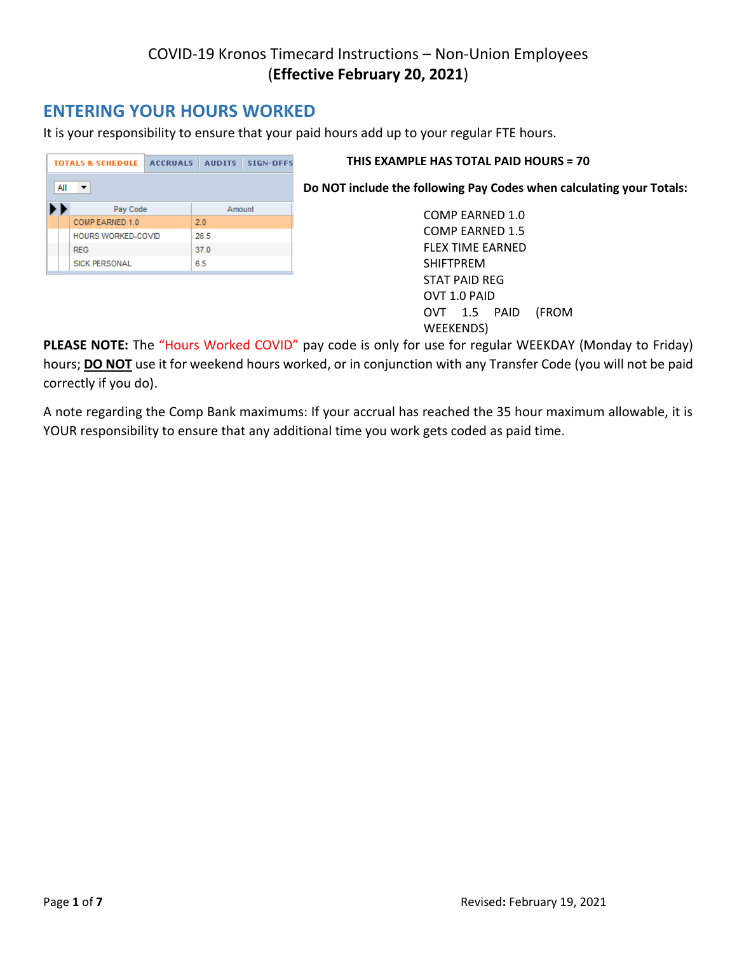## **ENTERING YOUR HOURS WORKED**

It is your responsibility to ensure that your paid hours add up to your regular FTE hours.

| <b>TOTALS &amp; SCHEDULE</b> |          | <b>ACCRUALS</b>           | <b>AUDITS</b> | <b>SIGN-OFFS</b> |  |
|------------------------------|----------|---------------------------|---------------|------------------|--|
| All<br>▼                     |          |                           |               |                  |  |
|                              | Pay Code |                           |               | Amount           |  |
|                              |          | <b>COMP EARNED 1.0</b>    |               | 2.0              |  |
|                              |          | <b>HOURS WORKED-COVID</b> |               | 26.5             |  |
|                              |          | <b>REG</b>                |               | 37.0             |  |
|                              |          | <b>SICK PERSONAL</b>      |               | 6.5              |  |

### **THIS EXAMPLE HAS TOTAL PAID HOURS = 70**

**Do NOT include the following Pay Codes when calculating your Totals:**

COMP EARNED 1.0 COMP EARNED 1.5 FLEX TIME EARNED SHIFTPREM STAT PAID REG OVT 1.0 PAID OVT 1.5 PAID (FROM WEEKENDS)

**PLEASE NOTE:** The "Hours Worked COVID" pay code is only for use for regular WEEKDAY (Monday to Friday) hours; **DO NOT** use it for weekend hours worked, or in conjunction with any Transfer Code (you will not be paid correctly if you do).

A note regarding the Comp Bank maximums: If your accrual has reached the 35 hour maximum allowable, it is YOUR responsibility to ensure that any additional time you work gets coded as paid time.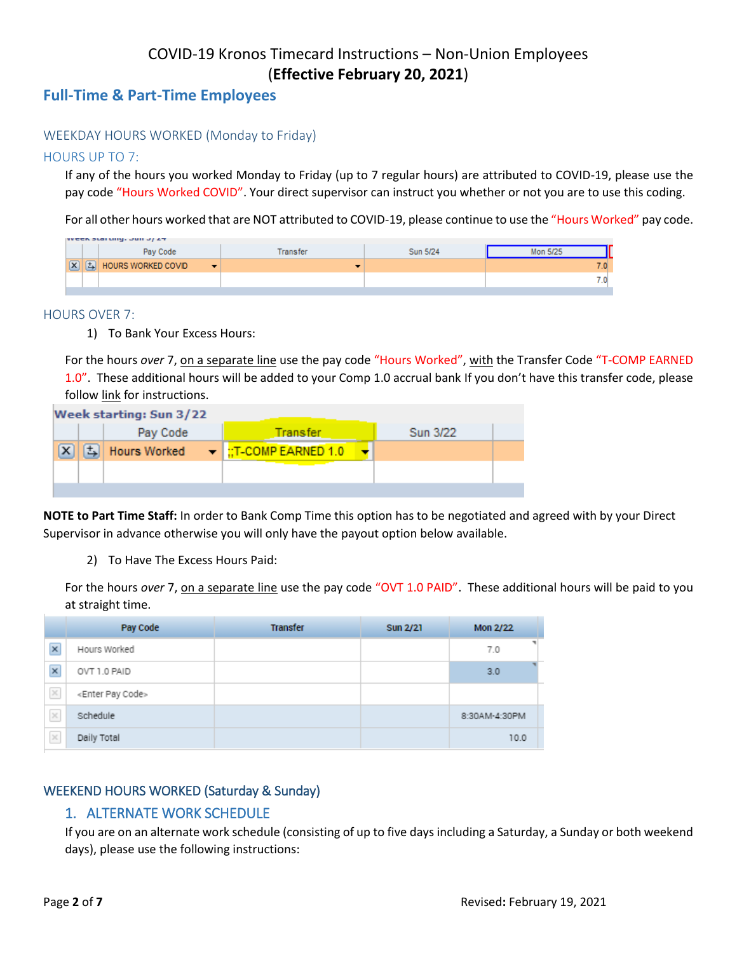### **Full-Time & Part-Time Employees**

#### WEEKDAY HOURS WORKED (Monday to Friday)

#### HOURS UP TO 7:

If any of the hours you worked Monday to Friday (up to 7 regular hours) are attributed to COVID-19, please use the pay code "Hours Worked COVID". Your direct supervisor can instruct you whether or not you are to use this coding.

For all other hours worked that are NOT attributed to COVID-19, please continue to use the "Hours Worked" pay code.

|  |    | $ VCER$ starting, sun s/ $27$ |          |          |             |  |
|--|----|-------------------------------|----------|----------|-------------|--|
|  |    | Pay Code                      | Transfer | Sun 5/24 | Mon 5/25    |  |
|  | 図图 | HOURS WORKED COVID<br>▼       |          |          | 7.0.        |  |
|  |    |                               |          |          | $\cdot$ .01 |  |
|  |    |                               |          |          |             |  |

#### HOURS OVER 7:

1) To Bank Your Excess Hours:

For the hours *over* 7, on a separate line use the pay code "Hours Worked", with the Transfer Code "T-COMP EARNED 1.0". These additional hours will be added to your Comp 1.0 accrual bank If you don't have this transfer code, please follow [link](http://intranet.smdhu.net/HR/Payroll/comp-hours-earned) for instructions.

|             |   | Week starting: Sun 3/22 |                                                  |          |  |
|-------------|---|-------------------------|--------------------------------------------------|----------|--|
|             |   | Pay Code                | Transfer                                         | Sun 3/22 |  |
| $\mathbf v$ | 칰 | Hours Worked            | $\blacktriangleright$ $\mid$ ;;T-COMP EARNED 1.0 |          |  |
|             |   |                         |                                                  |          |  |
|             |   |                         |                                                  |          |  |

**NOTE to Part Time Staff:** In order to Bank Comp Time this option has to be negotiated and agreed with by your Direct Supervisor in advance otherwise you will only have the payout option below available.

2) To Have The Excess Hours Paid:

For the hours *over* 7, on a separate line use the pay code "OVT 1.0 PAID". These additional hours will be paid to you at straight time.

|                         | Pay Code                       | <b>Transfer</b> | Sun 2/21 | <b>Mon 2/22</b> |
|-------------------------|--------------------------------|-----------------|----------|-----------------|
| $\mathbf{\overline{X}}$ | Hours Worked                   |                 |          | 7.0             |
| $\overline{\mathbf{x}}$ | OVT 1.0 PAID                   |                 |          | 3.0             |
| $\times$                | <enter code="" pay=""></enter> |                 |          |                 |
| $\times$                | Schedule                       |                 |          | 8:30AM-4:30PM   |
| $\times$                | Daily Total                    |                 |          | 10.0            |

### WEEKEND HOURS WORKED (Saturday & Sunday)

### 1. ALTERNATE WORK SCHEDULE

If you are on an alternate work schedule (consisting of up to five days including a Saturday, a Sunday or both weekend days), please use the following instructions: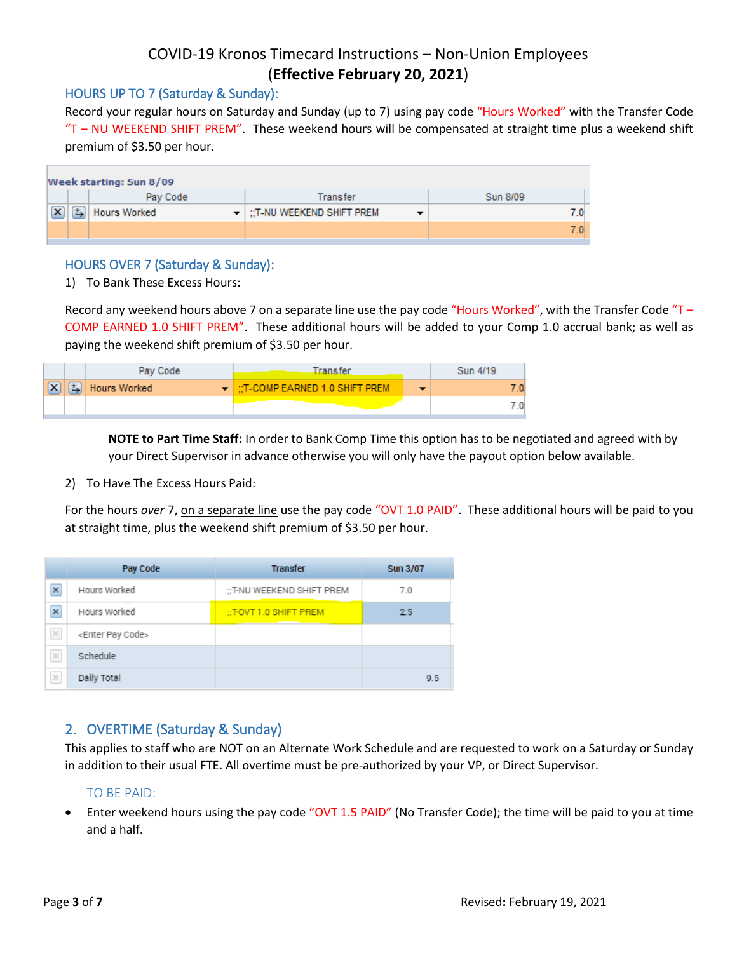### HOURS UP TO 7 (Saturday & Sunday):

Record your regular hours on Saturday and Sunday (up to 7) using pay code "Hours Worked" with the Transfer Code  $T - NU$  WEEKEND SHIFT PREM". These weekend hours will be compensated at straight time plus a weekend shift premium of \$3.50 per hour.

| Week starting: Sun 8/09 |                                         |                     |                                                         |          |  |  |
|-------------------------|-----------------------------------------|---------------------|---------------------------------------------------------|----------|--|--|
|                         |                                         | Pay Code            | Transfer                                                | Sun 8/09 |  |  |
|                         | $\overline{\mathbf{x}}$<br>$\mathbb{F}$ | <b>Hours Worked</b> | $\blacktriangleright$ $\mid$ ::T-NU weekend shift premi | 7.01     |  |  |
|                         |                                         |                     |                                                         | 7.01     |  |  |

### HOURS OVER 7 (Saturday & Sunday):

1) To Bank These Excess Hours:

Record any weekend hours above 7 on a separate line use the pay code "Hours Worked", with the Transfer Code "T -COMP EARNED 1.0 SHIFT PREM". These additional hours will be added to your Comp 1.0 accrual bank; as well as paying the weekend shift premium of \$3.50 per hour.

|                         |   | Pay Code     | Fransfer                                               | Sun 4/19 |
|-------------------------|---|--------------|--------------------------------------------------------|----------|
| $\overline{\mathbf{x}}$ | 圡 | Hours Worked | $\blacktriangleright$   ::T-COMP EARNED 1.0 SHIFT PREM |          |
|                         |   |              |                                                        | '.OI     |

**NOTE to Part Time Staff:** In order to Bank Comp Time this option has to be negotiated and agreed with by your Direct Supervisor in advance otherwise you will only have the payout option below available.

2) To Have The Excess Hours Paid:

For the hours *over* 7, on a separate line use the pay code "OVT 1.0 PAID". These additional hours will be paid to you at straight time, plus the weekend shift premium of \$3.50 per hour.

|                | Pay Code                       | <b>Transfer</b>           | Sun 3/07 |
|----------------|--------------------------------|---------------------------|----------|
| $\pmb{\times}$ | Hours Worked                   | :;T-NU WEEKEND SHIFT PREM | 7.0      |
| $\pmb{\times}$ | Hours Worked                   | ::TOVT 1.0 SHIFT PREM     | 2.5      |
| $\rm \times$   | <enter code="" pay=""></enter> |                           |          |
| $\rm \times$   | Schedule                       |                           |          |
| $\rm \times$   | Daily Total                    |                           | 9.5      |

### 2. OVERTIME (Saturday & Sunday)

This applies to staff who are NOT on an Alternate Work Schedule and are requested to work on a Saturday or Sunday in addition to their usual FTE. All overtime must be pre-authorized by your VP, or Direct Supervisor.

### TO BE PAID:

 Enter weekend hours using the pay code "OVT 1.5 PAID" (No Transfer Code); the time will be paid to you at time and a half.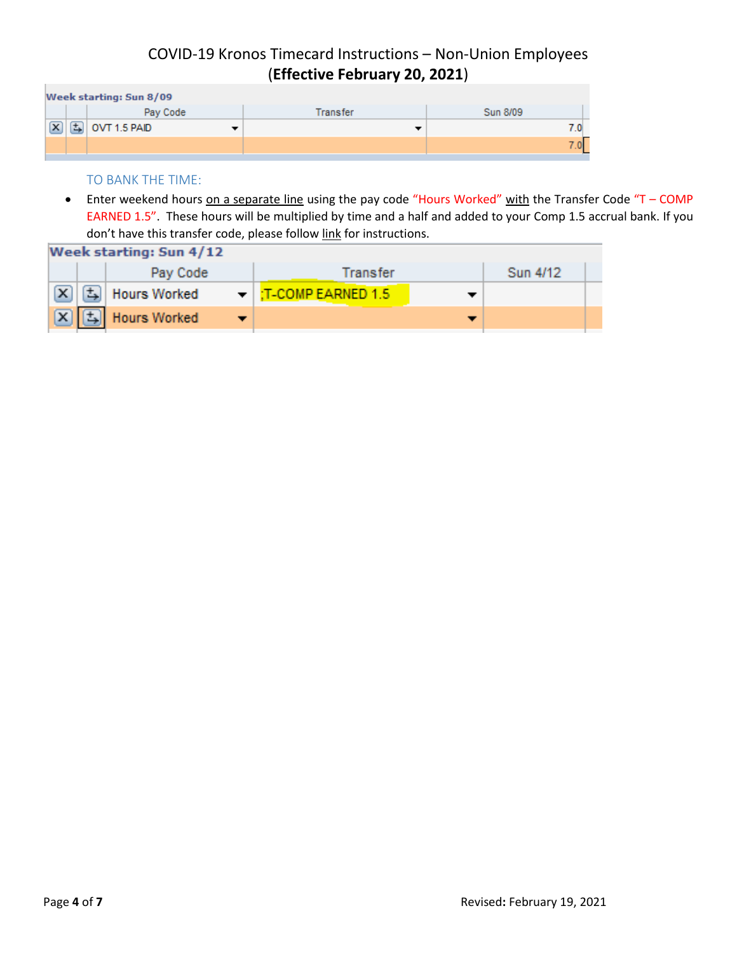### COVID-19 Kronos Timecard Instructions – Non-Union Employees (**Effective February 20, 2021**) the company of the company

|                      | Week starting: Sun 8/09  |          |          |
|----------------------|--------------------------|----------|----------|
|                      | Pay Code                 | Transfer | Sun 8/09 |
| $\boxed{\mathbf{x}}$ | $\boxed{+}$ OVT 1.5 PAID |          |          |
|                      |                          |          |          |
|                      |                          |          |          |

### TO BANK THE TIME:

• Enter weekend hours on a separate line using the pay code "Hours Worked" with the Transfer Code "T – COMP EARNED 1.5". These hours will be multiplied by time and a half and added to your Comp 1.5 accrual bank. If you don't have this transfer code, please follo[w link](http://intranet.smdhu.net/HR/Payroll/comp-hours-earned) for instructions.

|              | Week starting: Sun 4/12                                |                                            |          |
|--------------|--------------------------------------------------------|--------------------------------------------|----------|
|              | Pay Code                                               | Transfer                                   | Sun 4/12 |
| $\mathbf{x}$ | ( 동) Hours Worked                                      | $\blacktriangleright$   :T-COMP EARNED 1.5 |          |
|              | $\boxed{\mathbf{X}}$ $\boxed{\mathbf{b}}$ Hours Worked |                                            |          |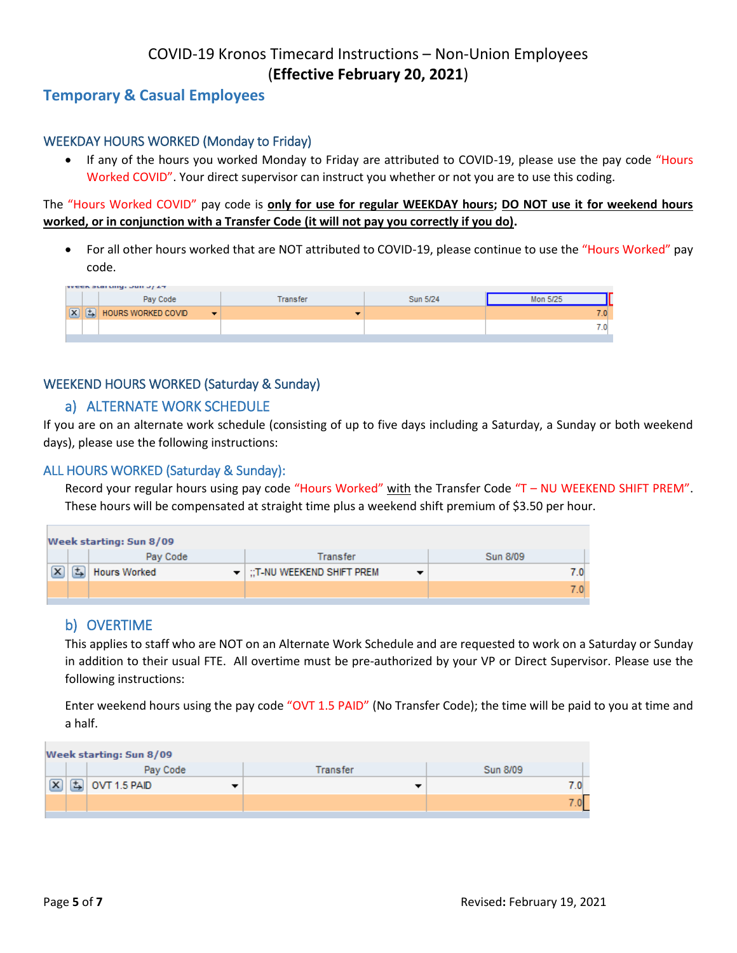### **Temporary & Casual Employees**

### WEEKDAY HOURS WORKED (Monday to Friday)

• If any of the hours you worked Monday to Friday are attributed to COVID-19, please use the pay code "Hours" Worked COVID". Your direct supervisor can instruct you whether or not you are to use this coding.

The "Hours Worked COVID" pay code is **only for use for regular WEEKDAY hours; DO NOT use it for weekend hours worked, or in conjunction with a Transfer Code (it will not pay you correctly if you do).**

 For all other hours worked that are NOT attributed to COVID-19, please continue to use the "Hours Worked" pay code.

|  | <b>WEEK Starting, Sun 3727</b>                  |          |          |          |
|--|-------------------------------------------------|----------|----------|----------|
|  | Pay Code                                        | Transfer | Sun 5/24 | Mon 5/25 |
|  | $\boxed{X}$ $\boxed{5}$ HOURS WORKED COVID<br>▼ |          |          |          |
|  |                                                 |          |          | 0.'      |
|  |                                                 |          |          |          |

### WEEKEND HOURS WORKED (Saturday & Sunday)

### a) ALTERNATE WORK SCHEDULE

If you are on an alternate work schedule (consisting of up to five days including a Saturday, a Sunday or both weekend days), please use the following instructions:

#### ALL HOURS WORKED (Saturday & Sunday):

Record your regular hours using pay code "Hours Worked" with the Transfer Code "T - NU WEEKEND SHIFT PREM". These hours will be compensated at straight time plus a weekend shift premium of \$3.50 per hour.

|                      | Week starting: Sun 8/09      |                     |                                                         |          |  |  |  |
|----------------------|------------------------------|---------------------|---------------------------------------------------------|----------|--|--|--|
|                      |                              | Pay Code            | Transfer                                                | Sun 8/09 |  |  |  |
| $\boxed{\mathbf{x}}$ | $\left( \frac{1}{2} \right)$ | <b>Hours Worked</b> | $\blacktriangleright$ $\mid$ ::t-nu weekend shift premi |          |  |  |  |
|                      |                              |                     |                                                         |          |  |  |  |

### b) OVERTIME

This applies to staff who are NOT on an Alternate Work Schedule and are requested to work on a Saturday or Sunday in addition to their usual FTE. All overtime must be pre-authorized by your VP or Direct Supervisor. Please use the following instructions:

Enter weekend hours using the pay code "OVT 1.5 PAID" (No Transfer Code); the time will be paid to you at time and a half.

|          |          | Week starting: Sun 8/09       |                                      |
|----------|----------|-------------------------------|--------------------------------------|
| Sun 8/09 | Transfer | Pay Code                      |                                      |
|          |          | $\boxed{5}$ OVT 1.5 PAID<br>▼ | $\left[\overline{\mathsf{x}}\right]$ |
|          |          |                               |                                      |
|          |          |                               |                                      |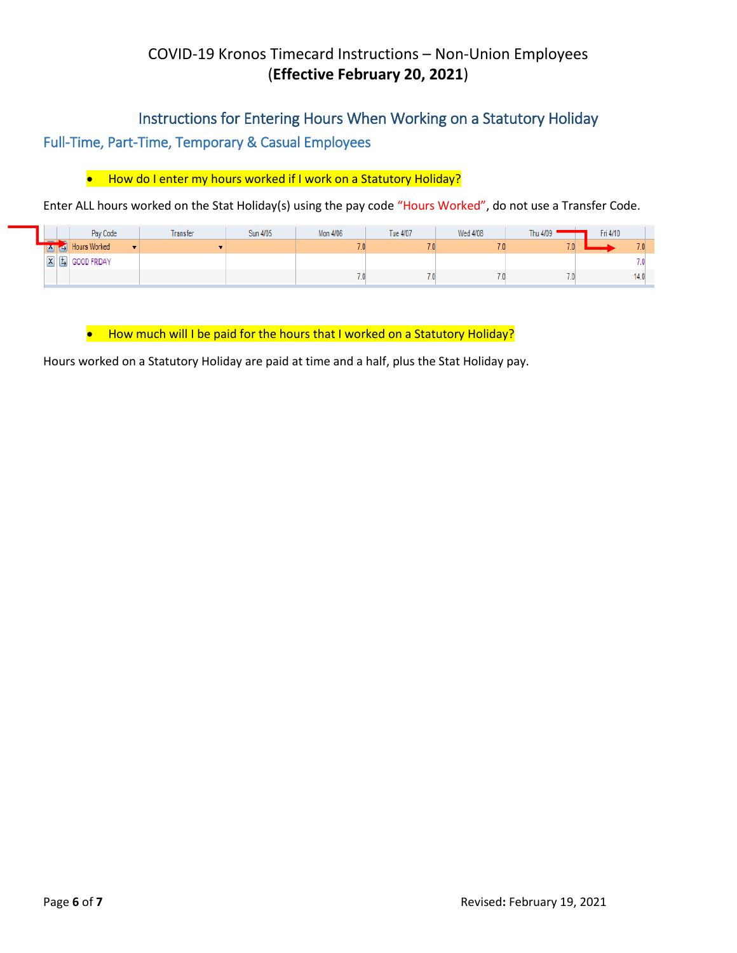## Instructions for Entering Hours When Working on a Statutory Holiday Full-Time, Part-Time, Temporary & Casual Employees

### • How do I enter my hours worked if I work on a Statutory Holiday?

Enter ALL hours worked on the Stat Holiday(s) using the pay code "Hours Worked", do not use a Transfer Code.

|                                           |   | Pay Code                 | Transfer | <b>Sun 4/05</b> | Mon 4/06 | Tue 4/07 | Wed 4/08 | Thu 4/09 | Fri 4/10 |       |
|-------------------------------------------|---|--------------------------|----------|-----------------|----------|----------|----------|----------|----------|-------|
| <b>Contract Designation</b><br><b>MIG</b> |   | <b>Hours Worked</b><br>▼ |          |                 |          | 7.0      |          | $-$      |          |       |
|                                           | м | GOOD FRIDAY              |          |                 |          |          |          |          |          |       |
|                                           |   |                          |          |                 |          |          |          |          |          | 14.01 |

• How much will I be paid for the hours that I worked on a Statutory Holiday?

Hours worked on a Statutory Holiday are paid at time and a half, plus the Stat Holiday pay.